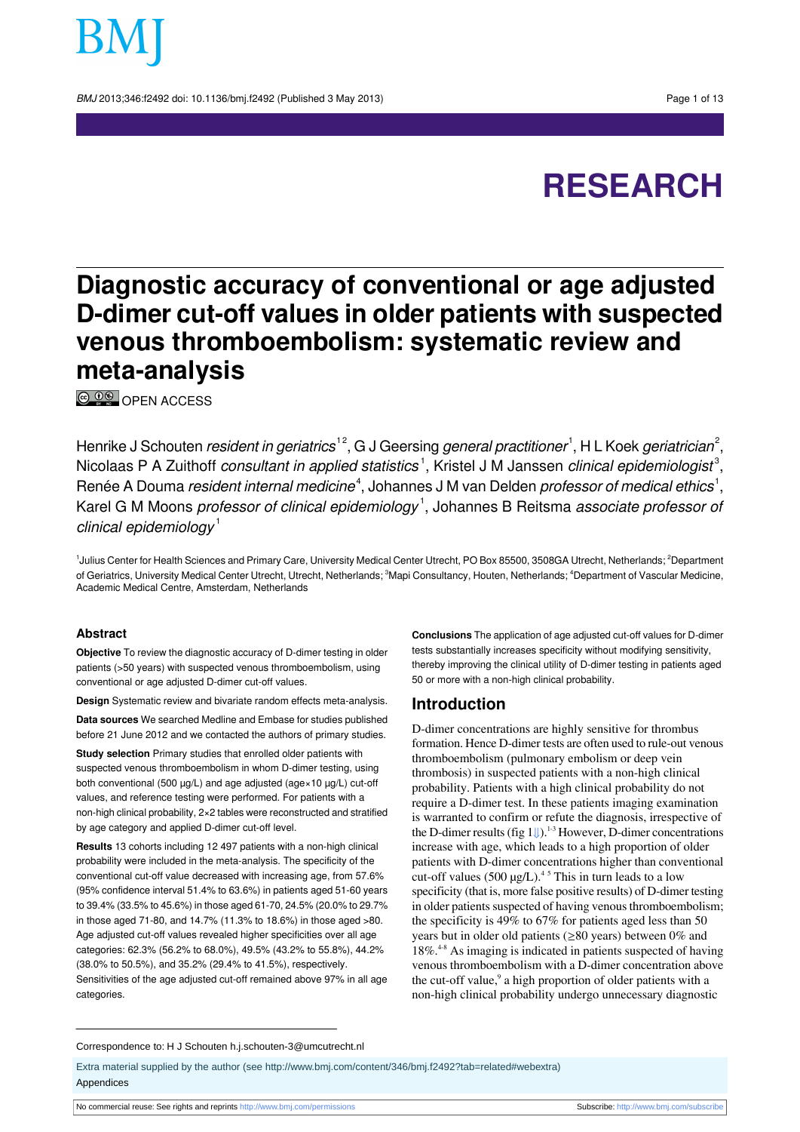BMJ 2013:346:f2492 doi: 10.1136/bmj.f2492 (Published 3 May 2013) Page 1 of 13

# **RESEARCH**

## **Diagnostic accuracy of conventional or age adjusted D-dimer cut-off values in older patients with suspected venous thromboembolism: systematic review and meta-analysis**

<sup>©</sup> <sup>O</sup>
© OPEN [ACCESS](http://creativecommons.org/licenses/by-nc/3.0/)

Henrike J Schouten *resident in geriatrics*  $^{12}$ , G J Geersing *general practitioner*  $^1$ , H L Koek *geriatrician* $^2$ , Nicolaas P A Zuithoff *consultant in applied statistics* <sup>1</sup>, Kristel J M Janssen *clinical epidemiologist*  $^3$ , Renée A Douma *resident internal medicine<sup>4</sup>,* Johannes J M van Delden *professor of medical ethics<sup>1</sup>,* Karel G M Moons *professor of clinical epidemiology* <sup>1</sup>, Johannes B Reitsma *associate professor o*i clinical epidemiology $1$ 

 $^1$ Julius Center for Health Sciences and Primary Care, University Medical Center Utrecht, PO Box 85500, 3508GA Utrecht, Netherlands; <sup>2</sup>Department of Geriatrics, University Medical Center Utrecht, Utrecht, Netherlands; 3Mapi Consultancy, Houten, Netherlands; 4Department of Vascular Medicine, Academic Medical Centre, Amsterdam, Netherlands

#### **Abstract**

**Objective** To review the diagnostic accuracy of D-dimer testing in older patients (>50 years) with suspected venous thromboembolism, using conventional or age adjusted D-dimer cut-off values.

**Design** Systematic review and bivariate random effects meta-analysis.

**Data sources** We searched Medline and Embase for studies published before 21 June 2012 and we contacted the authors of primary studies.

**Study selection** Primary studies that enrolled older patients with suspected venous thromboembolism in whom D-dimer testing, using both conventional (500 µg/L) and age adjusted (age×10 µg/L) cut-off values, and reference testing were performed. For patients with a non-high clinical probability, 2×2 tables were reconstructed and stratified by age category and applied D-dimer cut-off level.

**Results** 13 cohorts including 12 497 patients with a non-high clinical probability were included in the meta-analysis. The specificity of the conventional cut-off value decreased with increasing age, from 57.6% (95% confidence interval 51.4% to 63.6%) in patients aged 51-60 years to 39.4% (33.5% to 45.6%) in those aged 61-70, 24.5% (20.0% to 29.7% in those aged 71-80, and 14.7% (11.3% to 18.6%) in those aged >80. Age adjusted cut-off values revealed higher specificities over all age categories: 62.3% (56.2% to 68.0%), 49.5% (43.2% to 55.8%), 44.2% (38.0% to 50.5%), and 35.2% (29.4% to 41.5%), respectively. Sensitivities of the age adjusted cut-off remained above 97% in all age categories.

**Conclusions** The application of age adjusted cut-off values for D-dimer tests substantially increases specificity without modifying sensitivity, thereby improving the clinical utility of D-dimer testing in patients aged 50 or more with a non-high clinical probability.

#### **Introduction**

D-dimer concentrations are highly sensitive for thrombus formation. Hence D-dimer tests are often used to rule-out venous thromboembolism (pulmonary embolism or deep vein thrombosis) in suspected patients with a non-high clinical probability. Patients with a high clinical probability do not require a D-dimer test. In these patients imaging examination is warranted to confirm or refute the diagnosis, irrespective of the D-dimer results (fig  $1\text{U}$ ).<sup>1-3</sup> However, D-dimer concentrations increase with age, which leads to a high proportion of older patients with D-dimer concentrations higher than conventional cut-off values (500  $\mu$ g/L).<sup>45</sup> This in turn leads to a low specificity (that is, more false positive results) of D-dimer testing in older patients suspected of having venous thromboembolism; the specificity is 49% to 67% for patients aged less than 50 years but in older old patients (≥80 years) between 0% and 18%.4-8 As imaging is indicated in patients suspected of having venous thromboembolism with a D-dimer concentration above the cut-off value,<sup>9</sup> a high proportion of older patients with a non-high clinical probability undergo unnecessary diagnostic

Extra material supplied by the author (see [http://www.bmj.com/content/346/bmj.f2492?tab=related#webextra\)](http://www.bmj.com/content/346/bmj.f2492?tab=related#webextra) Appendices

Correspondence to: H J Schouten h.j.schouten-3@umcutrecht.nl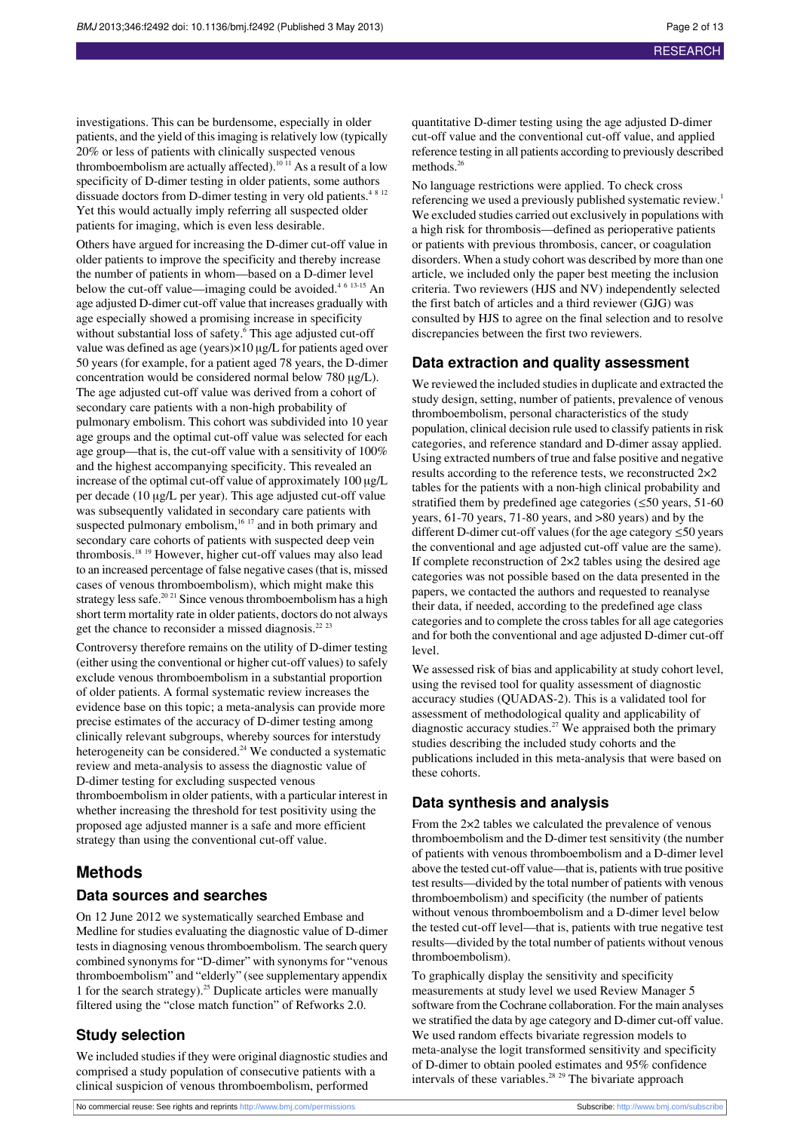investigations. This can be burdensome, especially in older patients, and the yield of this imaging is relatively low (typically 20% or less of patients with clinically suspected venous thromboembolism are actually affected).<sup>10 11</sup> As a result of a low specificity of D-dimer testing in older patients, some authors dissuade doctors from D-dimer testing in very old patients.<sup>4 8 12</sup> Yet this would actually imply referring all suspected older patients for imaging, which is even less desirable.

Others have argued for increasing the D-dimer cut-off value in older patients to improve the specificity and thereby increase the number of patients in whom—based on a D-dimer level below the cut-off value—imaging could be avoided.<sup>4 6 13-15</sup> An age adjusted D-dimer cut-off value that increases gradually with age especially showed a promising increase in specificity without substantial loss of safety.<sup>6</sup> This age adjusted cut-off value was defined as age (years)×10 μg/L for patients aged over 50 years (for example, for a patient aged 78 years, the D-dimer concentration would be considered normal below 780 μg/L). The age adjusted cut-off value was derived from a cohort of secondary care patients with a non-high probability of pulmonary embolism. This cohort was subdivided into 10 year age groups and the optimal cut-off value was selected for each age group—that is, the cut-off value with a sensitivity of 100% and the highest accompanying specificity. This revealed an increase of the optimal cut-off value of approximately 100 μg/L per decade (10 μg/L per year). This age adjusted cut-off value was subsequently validated in secondary care patients with suspected pulmonary embolism, $16 \frac{17}{2}$  and in both primary and secondary care cohorts of patients with suspected deep vein thrombosis.<sup>18</sup> <sup>19</sup> However, higher cut-off values may also lead to an increased percentage of false negative cases(that is, missed cases of venous thromboembolism), which might make this strategy less safe.<sup>20 21</sup> Since venous thromboembolism has a high short term mortality rate in older patients, doctors do not always get the chance to reconsider a missed diagnosis.<sup>22 23</sup>

Controversy therefore remains on the utility of D-dimer testing (either using the conventional or higher cut-off values) to safely exclude venous thromboembolism in a substantial proportion of older patients. A formal systematic review increases the evidence base on this topic; a meta-analysis can provide more precise estimates of the accuracy of D-dimer testing among clinically relevant subgroups, whereby sources for interstudy heterogeneity can be considered.<sup>24</sup> We conducted a systematic review and meta-analysis to assess the diagnostic value of D-dimer testing for excluding suspected venous thromboembolism in older patients, with a particular interest in whether increasing the threshold for test positivity using the proposed age adjusted manner is a safe and more efficient strategy than using the conventional cut-off value.

### **Methods**

#### **Data sources and searches**

On 12 June 2012 we systematically searched Embase and Medline for studies evaluating the diagnostic value of D-dimer tests in diagnosing venous thromboembolism. The search query combined synonyms for "D-dimer" with synonyms for "venous thromboembolism" and "elderly" (see supplementary appendix 1 for the search strategy).<sup>25</sup> Duplicate articles were manually filtered using the "close match function" of Refworks 2.0.

#### **Study selection**

We included studies if they were original diagnostic studies and comprised a study population of consecutive patients with a clinical suspicion of venous thromboembolism, performed

quantitative D-dimer testing using the age adjusted D-dimer cut-off value and the conventional cut-off value, and applied reference testing in all patients according to previously described methods. $2^{\circ}$ 

No language restrictions were applied. To check cross referencing we used a previously published systematic review.<sup>1</sup> We excluded studies carried out exclusively in populations with a high risk for thrombosis—defined as perioperative patients or patients with previous thrombosis, cancer, or coagulation disorders. When a study cohort was described by more than one article, we included only the paper best meeting the inclusion criteria. Two reviewers (HJS and NV) independently selected the first batch of articles and a third reviewer (GJG) was consulted by HJS to agree on the final selection and to resolve discrepancies between the first two reviewers.

#### **Data extraction and quality assessment**

We reviewed the included studies in duplicate and extracted the study design, setting, number of patients, prevalence of venous thromboembolism, personal characteristics of the study population, clinical decision rule used to classify patients in risk categories, and reference standard and D-dimer assay applied. Using extracted numbers of true and false positive and negative results according to the reference tests, we reconstructed 2×2 tables for the patients with a non-high clinical probability and stratified them by predefined age categories ( $\leq$ 50 years, 51-60 years, 61-70 years, 71-80 years, and >80 years) and by the different D-dimer cut-off values(for the age category ≤50 years the conventional and age adjusted cut-off value are the same). If complete reconstruction of  $2\times 2$  tables using the desired age categories was not possible based on the data presented in the papers, we contacted the authors and requested to reanalyse their data, if needed, according to the predefined age class categories and to complete the cross tables for all age categories and for both the conventional and age adjusted D-dimer cut-off level.

We assessed risk of bias and applicability at study cohort level, using the revised tool for quality assessment of diagnostic accuracy studies (QUADAS-2). This is a validated tool for assessment of methodological quality and applicability of diagnostic accuracy studies.<sup>27</sup> We appraised both the primary studies describing the included study cohorts and the publications included in this meta-analysis that were based on these cohorts.

#### **Data synthesis and analysis**

From the 2×2 tables we calculated the prevalence of venous thromboembolism and the D-dimer test sensitivity (the number of patients with venous thromboembolism and a D-dimer level above the tested cut-off value—that is, patients with true positive test results—divided by the total number of patients with venous thromboembolism) and specificity (the number of patients without venous thromboembolism and a D-dimer level below the tested cut-off level—that is, patients with true negative test results—divided by the total number of patients without venous thromboembolism).

To graphically display the sensitivity and specificity measurements at study level we used Review Manager 5 software from the Cochrane collaboration. For the main analyses we stratified the data by age category and D-dimer cut-off value. We used random effects bivariate regression models to meta-analyse the logit transformed sensitivity and specificity of D-dimer to obtain pooled estimates and 95% confidence intervals of these variables.<sup>28</sup> <sup>29</sup> The bivariate approach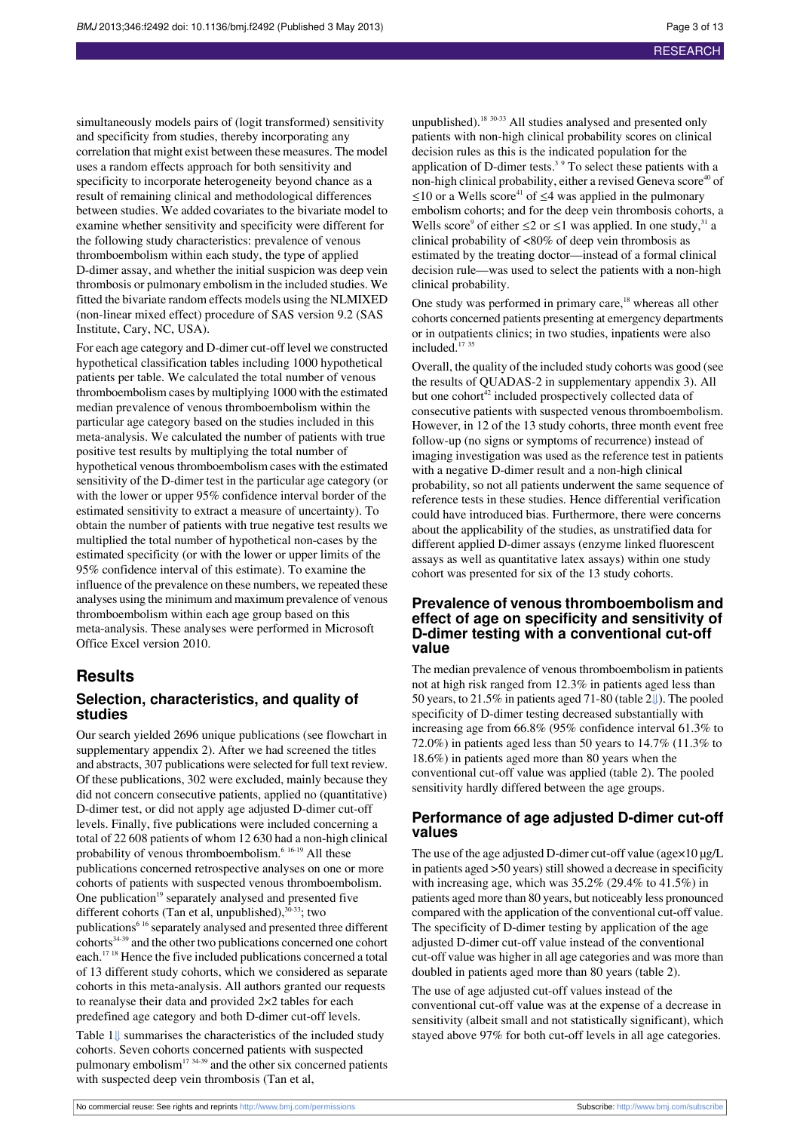simultaneously models pairs of (logit transformed) sensitivity and specificity from studies, thereby incorporating any correlation that might exist between these measures. The model uses a random effects approach for both sensitivity and specificity to incorporate heterogeneity beyond chance as a result of remaining clinical and methodological differences between studies. We added covariates to the bivariate model to examine whether sensitivity and specificity were different for the following study characteristics: prevalence of venous thromboembolism within each study, the type of applied D-dimer assay, and whether the initial suspicion was deep vein thrombosis or pulmonary embolism in the included studies. We fitted the bivariate random effects models using the NLMIXED (non-linear mixed effect) procedure of SAS version 9.2 (SAS Institute, Cary, NC, USA).

For each age category and D-dimer cut-off level we constructed hypothetical classification tables including 1000 hypothetical patients per table. We calculated the total number of venous thromboembolism cases by multiplying 1000 with the estimated median prevalence of venous thromboembolism within the particular age category based on the studies included in this meta-analysis. We calculated the number of patients with true positive test results by multiplying the total number of hypothetical venous thromboembolism cases with the estimated sensitivity of the D-dimer test in the particular age category (or with the lower or upper 95% confidence interval border of the estimated sensitivity to extract a measure of uncertainty). To obtain the number of patients with true negative test results we multiplied the total number of hypothetical non-cases by the estimated specificity (or with the lower or upper limits of the 95% confidence interval of this estimate). To examine the influence of the prevalence on these numbers, we repeated these analyses using the minimum and maximum prevalence of venous thromboembolism within each age group based on this meta-analysis. These analyses were performed in Microsoft Office Excel version 2010.

#### **Results**

#### **Selection, characteristics, and quality of studies**

Our search yielded 2696 unique publications (see flowchart in supplementary appendix 2). After we had screened the titles and abstracts, 307 publications were selected for full text review. Of these publications, 302 were excluded, mainly because they did not concern consecutive patients, applied no (quantitative) D-dimer test, or did not apply age adjusted D-dimer cut-off levels. Finally, five publications were included concerning a total of 22 608 patients of whom 12 630 had a non-high clinical probability of venous thromboembolism.<sup>6 16-19</sup> All these publications concerned retrospective analyses on one or more cohorts of patients with suspected venous thromboembolism. One publication<sup>19</sup> separately analysed and presented five different cohorts (Tan et al, unpublished),<sup>30-33</sup>; two publications<sup>6</sup> <sup>16</sup> separately analysed and presented three different cohorts34-39 and the other two publications concerned one cohort each.<sup>17</sup> <sup>18</sup> Hence the five included publications concerned a total of 13 different study cohorts, which we considered as separate cohorts in this meta-analysis. All authors granted our requests to reanalyse their data and provided 2×2 tables for each predefined age category and both D-dimer cut-off levels.

Table 1[⇓](#page-7-0) summarises the characteristics of the included study cohorts. Seven cohorts concerned patients with suspected pulmonary embolism $17 \frac{34-39}{9}$  and the other six concerned patients with suspected deep vein thrombosis (Tan et al,

unpublished).<sup>18 30-33</sup> All studies analysed and presented only patients with non-high clinical probability scores on clinical decision rules as this is the indicated population for the application of D-dimer tests.<sup>39</sup> To select these patients with a non-high clinical probability, either a revised Geneva score<sup>40</sup> of ≤10 or a Wells score<sup>41</sup> of ≤4 was applied in the pulmonary embolism cohorts; and for the deep vein thrombosis cohorts, a Wells score<sup>9</sup> of either  $\leq 2$  or  $\leq 1$  was applied. In one study,<sup>31</sup> a clinical probability of <80% of deep vein thrombosis as estimated by the treating doctor—instead of a formal clinical decision rule—was used to select the patients with a non-high clinical probability.

One study was performed in primary care,<sup>18</sup> whereas all other cohorts concerned patients presenting at emergency departments or in outpatients clinics; in two studies, inpatients were also included.<sup>17</sup> <sup>35</sup>

Overall, the quality of the included study cohorts was good (see the results of QUADAS-2 in supplementary appendix 3). All but one cohort<sup>42</sup> included prospectively collected data of consecutive patients with suspected venous thromboembolism. However, in 12 of the 13 study cohorts, three month event free follow-up (no signs or symptoms of recurrence) instead of imaging investigation was used as the reference test in patients with a negative D-dimer result and a non-high clinical probability, so not all patients underwent the same sequence of reference tests in these studies. Hence differential verification could have introduced bias. Furthermore, there were concerns about the applicability of the studies, as unstratified data for different applied D-dimer assays (enzyme linked fluorescent assays as well as quantitative latex assays) within one study cohort was presented for six of the 13 study cohorts.

#### **Prevalence of venous thromboembolism and effect of age on specificity and sensitivity of D-dimer testing with a conventional cut-off value**

The median prevalence of venous thromboembolism in patients not at high risk ranged from 12.3% in patients aged less than 50 years, to 21.5% in patients aged 71-80 (table [2⇓](#page-9-0)). The pooled specificity of D-dimer testing decreased substantially with increasing age from 66.8% (95% confidence interval 61.3% to 72.0%) in patients aged less than 50 years to 14.7% (11.3% to 18.6%) in patients aged more than 80 years when the conventional cut-off value was applied (table 2). The pooled sensitivity hardly differed between the age groups.

#### **Performance of age adjusted D-dimer cut-off values**

The use of the age adjusted D-dimer cut-off value ( $age \times 10 \mu g/L$ ) in patients aged >50 years) still showed a decrease in specificity with increasing age, which was 35.2% (29.4% to 41.5%) in patients aged more than 80 years, but noticeably less pronounced compared with the application of the conventional cut-off value. The specificity of D-dimer testing by application of the age adjusted D-dimer cut-off value instead of the conventional cut-off value was higher in all age categories and was more than doubled in patients aged more than 80 years (table 2).

The use of age adjusted cut-off values instead of the conventional cut-off value was at the expense of a decrease in sensitivity (albeit small and not statistically significant), which stayed above 97% for both cut-off levels in all age categories.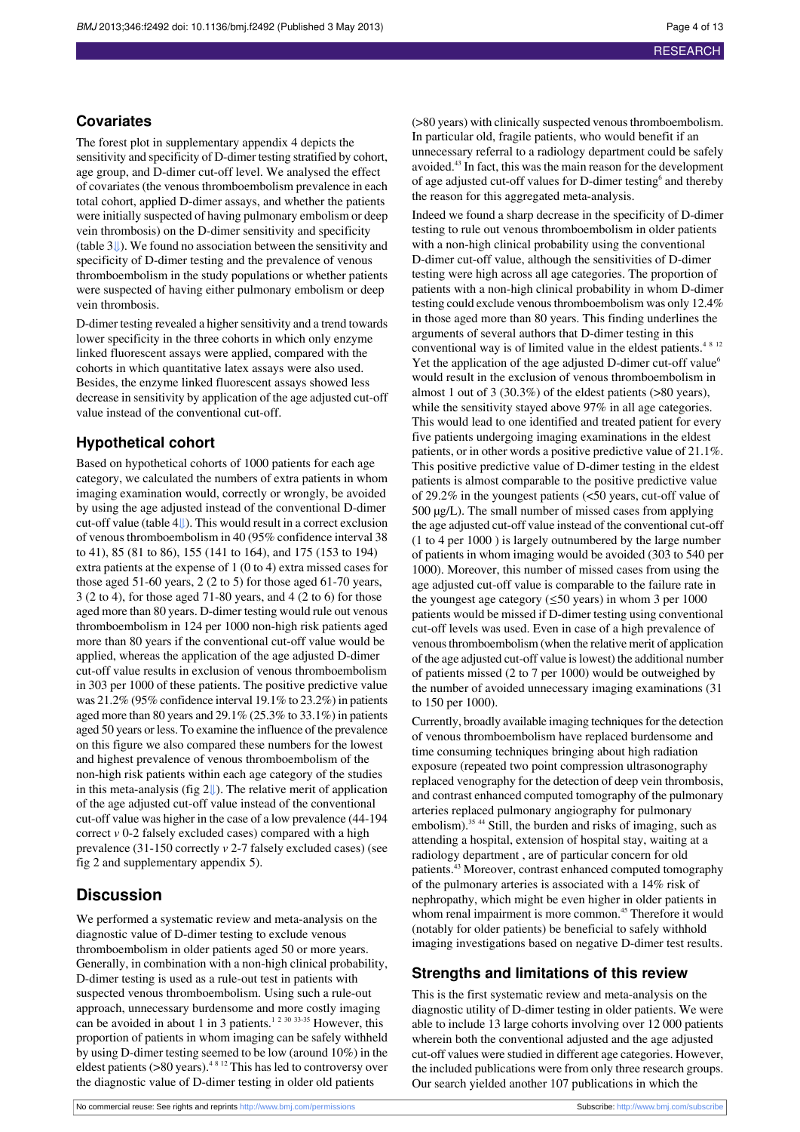#### **RESEARCH**

#### **Covariates**

The forest plot in supplementary appendix 4 depicts the sensitivity and specificity of D-dimer testing stratified by cohort, age group, and D-dimer cut-off level. We analysed the effect of covariates (the venous thromboembolism prevalence in each total cohort, applied D-dimer assays, and whether the patients were initially suspected of having pulmonary embolism or deep vein thrombosis) on the D-dimer sensitivity and specificity (table [3⇓](#page-10-0)). We found no association between the sensitivity and specificity of D-dimer testing and the prevalence of venous thromboembolism in the study populations or whether patients were suspected of having either pulmonary embolism or deep vein thrombosis.

D-dimer testing revealed a higher sensitivity and a trend towards lower specificity in the three cohorts in which only enzyme linked fluorescent assays were applied, compared with the cohorts in which quantitative latex assays were also used. Besides, the enzyme linked fluorescent assays showed less decrease in sensitivity by application of the age adjusted cut-off value instead of the conventional cut-off.

#### **Hypothetical cohort**

Based on hypothetical cohorts of 1000 patients for each age category, we calculated the numbers of extra patients in whom imaging examination would, correctly or wrongly, be avoided by using the age adjusted instead of the conventional D-dimer cut-off value (table 4[⇓](#page-11-0)). This would result in a correct exclusion of venousthromboembolism in 40 (95% confidence interval 38 to 41), 85 (81 to 86), 155 (141 to 164), and 175 (153 to 194) extra patients at the expense of 1 (0 to 4) extra missed cases for those aged 51-60 years, 2 (2 to 5) for those aged 61-70 years, 3 (2 to 4), for those aged 71-80 years, and 4 (2 to 6) for those aged more than 80 years. D-dimer testing would rule out venous thromboembolism in 124 per 1000 non-high risk patients aged more than 80 years if the conventional cut-off value would be applied, whereas the application of the age adjusted D-dimer cut-off value results in exclusion of venous thromboembolism in 303 per 1000 of these patients. The positive predictive value was 21.2% (95% confidence interval 19.1% to 23.2%) in patients aged more than 80 years and 29.1% (25.3% to 33.1%) in patients aged 50 years or less. To examine the influence of the prevalence on this figure we also compared these numbers for the lowest and highest prevalence of venous thromboembolism of the non-high risk patients within each age category of the studies in this meta-analysis (fig 2[⇓\)](#page-12-1). The relative merit of application of the age adjusted cut-off value instead of the conventional cut-off value was higher in the case of a low prevalence (44-194 correct *v* 0-2 falsely excluded cases) compared with a high prevalence (31-150 correctly *v* 2-7 falsely excluded cases) (see fig 2 and supplementary appendix 5).

#### **Discussion**

We performed a systematic review and meta-analysis on the diagnostic value of D-dimer testing to exclude venous thromboembolism in older patients aged 50 or more years. Generally, in combination with a non-high clinical probability, D-dimer testing is used as a rule-out test in patients with suspected venous thromboembolism. Using such a rule-out approach, unnecessary burdensome and more costly imaging can be avoided in about 1 in 3 patients.<sup>1 2 30</sup> 33-35 However, this proportion of patients in whom imaging can be safely withheld by using D-dimer testing seemed to be low (around 10%) in the eldest patients  $(>80 \text{ years})$ .<sup>48 12</sup> This has led to controversy over the diagnostic value of D-dimer testing in older old patients

(>80 years) with clinically suspected venous thromboembolism. In particular old, fragile patients, who would benefit if an unnecessary referral to a radiology department could be safely avoided.<sup>43</sup> In fact, this was the main reason for the development of age adjusted cut-off values for D-dimer testing<sup>6</sup> and thereby the reason for this aggregated meta-analysis.

Indeed we found a sharp decrease in the specificity of D-dimer testing to rule out venous thromboembolism in older patients with a non-high clinical probability using the conventional D-dimer cut-off value, although the sensitivities of D-dimer testing were high across all age categories. The proportion of patients with a non-high clinical probability in whom D-dimer testing could exclude venous thromboembolism was only 12.4% in those aged more than 80 years. This finding underlines the arguments of several authors that D-dimer testing in this conventional way is of limited value in the eldest patients.<sup>48 12</sup> Yet the application of the age adjusted D-dimer cut-off value<sup>6</sup> would result in the exclusion of venous thromboembolism in almost 1 out of 3 (30.3%) of the eldest patients (>80 years), while the sensitivity stayed above 97% in all age categories. This would lead to one identified and treated patient for every five patients undergoing imaging examinations in the eldest patients, or in other words a positive predictive value of 21.1%. This positive predictive value of D-dimer testing in the eldest patients is almost comparable to the positive predictive value of 29.2% in the youngest patients (<50 years, cut-off value of 500 µg/L). The small number of missed cases from applying the age adjusted cut-off value instead of the conventional cut-off (1 to 4 per 1000 ) is largely outnumbered by the large number of patients in whom imaging would be avoided (303 to 540 per 1000). Moreover, this number of missed cases from using the age adjusted cut-off value is comparable to the failure rate in the youngest age category ( $\leq 50$  years) in whom 3 per 1000 patients would be missed if D-dimer testing using conventional cut-off levels was used. Even in case of a high prevalence of venousthromboembolism (when the relative merit of application of the age adjusted cut-off value islowest) the additional number of patients missed (2 to 7 per 1000) would be outweighed by the number of avoided unnecessary imaging examinations (31 to 150 per 1000).

Currently, broadly available imaging techniques for the detection of venous thromboembolism have replaced burdensome and time consuming techniques bringing about high radiation exposure (repeated two point compression ultrasonography replaced venography for the detection of deep vein thrombosis, and contrast enhanced computed tomography of the pulmonary arteries replaced pulmonary angiography for pulmonary embolism).<sup>35 44</sup> Still, the burden and risks of imaging, such as attending a hospital, extension of hospital stay, waiting at a radiology department , are of particular concern for old patients.<sup>43</sup> Moreover, contrast enhanced computed tomography of the pulmonary arteries is associated with a 14% risk of nephropathy, which might be even higher in older patients in whom renal impairment is more common.<sup>45</sup> Therefore it would (notably for older patients) be beneficial to safely withhold imaging investigations based on negative D-dimer test results.

#### **Strengths and limitations of this review**

This is the first systematic review and meta-analysis on the diagnostic utility of D-dimer testing in older patients. We were able to include 13 large cohorts involving over 12 000 patients wherein both the conventional adjusted and the age adjusted cut-off values were studied in different age categories. However, the included publications were from only three research groups. Our search yielded another 107 publications in which the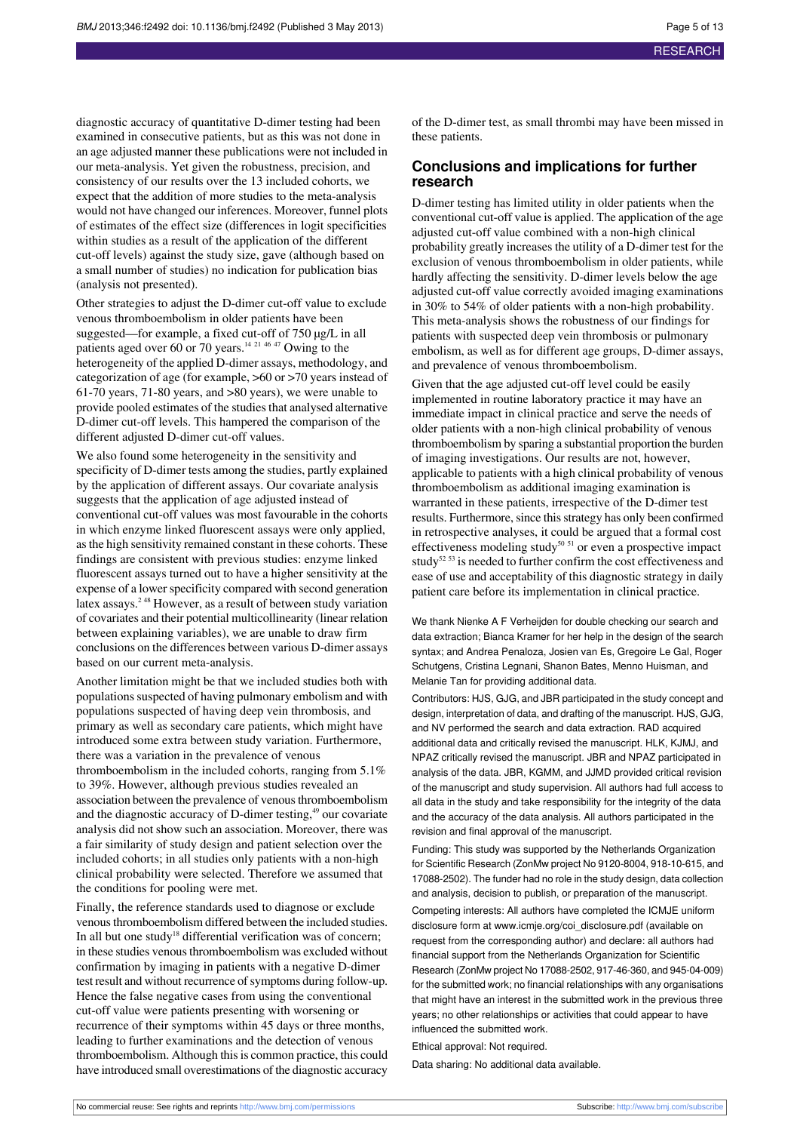diagnostic accuracy of quantitative D-dimer testing had been examined in consecutive patients, but as this was not done in an age adjusted manner these publications were not included in our meta-analysis. Yet given the robustness, precision, and consistency of our results over the 13 included cohorts, we expect that the addition of more studies to the meta-analysis would not have changed our inferences. Moreover, funnel plots of estimates of the effect size (differences in logit specificities within studies as a result of the application of the different cut-off levels) against the study size, gave (although based on a small number of studies) no indication for publication bias (analysis not presented).

Other strategies to adjust the D-dimer cut-off value to exclude venous thromboembolism in older patients have been suggested—for example, a fixed cut-off of 750 µg/L in all patients aged over 60 or 70 years.<sup>14 21 46 47</sup> Owing to the heterogeneity of the applied D-dimer assays, methodology, and categorization of age (for example, >60 or >70 years instead of 61-70 years, 71-80 years, and >80 years), we were unable to provide pooled estimates of the studies that analysed alternative D-dimer cut-off levels. This hampered the comparison of the different adjusted D-dimer cut-off values.

We also found some heterogeneity in the sensitivity and specificity of D-dimer tests among the studies, partly explained by the application of different assays. Our covariate analysis suggests that the application of age adjusted instead of conventional cut-off values was most favourable in the cohorts in which enzyme linked fluorescent assays were only applied, asthe high sensitivity remained constant in these cohorts. These findings are consistent with previous studies: enzyme linked fluorescent assays turned out to have a higher sensitivity at the expense of a lower specificity compared with second generation latex assays.<sup>248</sup> However, as a result of between study variation of covariates and their potential multicollinearity (linear relation between explaining variables), we are unable to draw firm conclusions on the differences between various D-dimer assays based on our current meta-analysis.

Another limitation might be that we included studies both with populations suspected of having pulmonary embolism and with populations suspected of having deep vein thrombosis, and primary as well as secondary care patients, which might have introduced some extra between study variation. Furthermore, there was a variation in the prevalence of venous thromboembolism in the included cohorts, ranging from 5.1% to 39%. However, although previous studies revealed an association between the prevalence of venousthromboembolism and the diagnostic accuracy of D-dimer testing,<sup>49</sup> our covariate analysis did not show such an association. Moreover, there was a fair similarity of study design and patient selection over the included cohorts; in all studies only patients with a non-high clinical probability were selected. Therefore we assumed that the conditions for pooling were met.

Finally, the reference standards used to diagnose or exclude venous thromboembolism differed between the included studies. In all but one study<sup>18</sup> differential verification was of concern; in these studies venous thromboembolism was excluded without confirmation by imaging in patients with a negative D-dimer test result and without recurrence of symptoms during follow-up. Hence the false negative cases from using the conventional cut-off value were patients presenting with worsening or recurrence of their symptoms within 45 days or three months, leading to further examinations and the detection of venous thromboembolism. Although this is common practice, this could have introduced small overestimations of the diagnostic accuracy

of the D-dimer test, as small thrombi may have been missed in these patients.

#### **Conclusions and implications for further research**

D-dimer testing has limited utility in older patients when the conventional cut-off value is applied. The application of the age adjusted cut-off value combined with a non-high clinical probability greatly increases the utility of a D-dimer test for the exclusion of venous thromboembolism in older patients, while hardly affecting the sensitivity. D-dimer levels below the age adjusted cut-off value correctly avoided imaging examinations in 30% to 54% of older patients with a non-high probability. This meta-analysis shows the robustness of our findings for patients with suspected deep vein thrombosis or pulmonary embolism, as well as for different age groups, D-dimer assays, and prevalence of venous thromboembolism.

Given that the age adjusted cut-off level could be easily implemented in routine laboratory practice it may have an immediate impact in clinical practice and serve the needs of older patients with a non-high clinical probability of venous thromboembolism by sparing a substantial proportion the burden of imaging investigations. Our results are not, however, applicable to patients with a high clinical probability of venous thromboembolism as additional imaging examination is warranted in these patients, irrespective of the D-dimer test results. Furthermore, since this strategy has only been confirmed in retrospective analyses, it could be argued that a formal cost effectiveness modeling study<sup>50 51</sup> or even a prospective impact study<sup>52 53</sup> is needed to further confirm the cost effectiveness and ease of use and acceptability of this diagnostic strategy in daily patient care before its implementation in clinical practice.

We thank Nienke A F Verheijden for double checking our search and data extraction; Bianca Kramer for her help in the design of the search syntax; and Andrea Penaloza, Josien van Es, Gregoire Le Gal, Roger Schutgens, Cristina Legnani, Shanon Bates, Menno Huisman, and Melanie Tan for providing additional data.

Contributors: HJS, GJG, and JBR participated in the study concept and design, interpretation of data, and drafting of the manuscript. HJS, GJG, and NV performed the search and data extraction. RAD acquired additional data and critically revised the manuscript. HLK, KJMJ, and NPAZ critically revised the manuscript. JBR and NPAZ participated in analysis of the data. JBR, KGMM, and JJMD provided critical revision of the manuscript and study supervision. All authors had full access to all data in the study and take responsibility for the integrity of the data and the accuracy of the data analysis. All authors participated in the revision and final approval of the manuscript.

Funding: This study was supported by the Netherlands Organization for Scientific Research (ZonMw project No 9120-8004, 918-10-615, and 17088-2502). The funder had no role in the study design, data collection and analysis, decision to publish, or preparation of the manuscript. Competing interests: All authors have completed the ICMJE uniform disclosure form at [www.icmje.org/coi\\_disclosure.pdf](http://www.icmje.org/coi_disclosure.pdf) (available on request from the corresponding author) and declare: all authors had financial support from the Netherlands Organization for Scientific Research (ZonMw project No 17088-2502, 917-46-360, and 945-04-009) for the submitted work; no financial relationships with any organisations that might have an interest in the submitted work in the previous three years; no other relationships or activities that could appear to have influenced the submitted work.

Ethical approval: Not required.

Data sharing: No additional data available.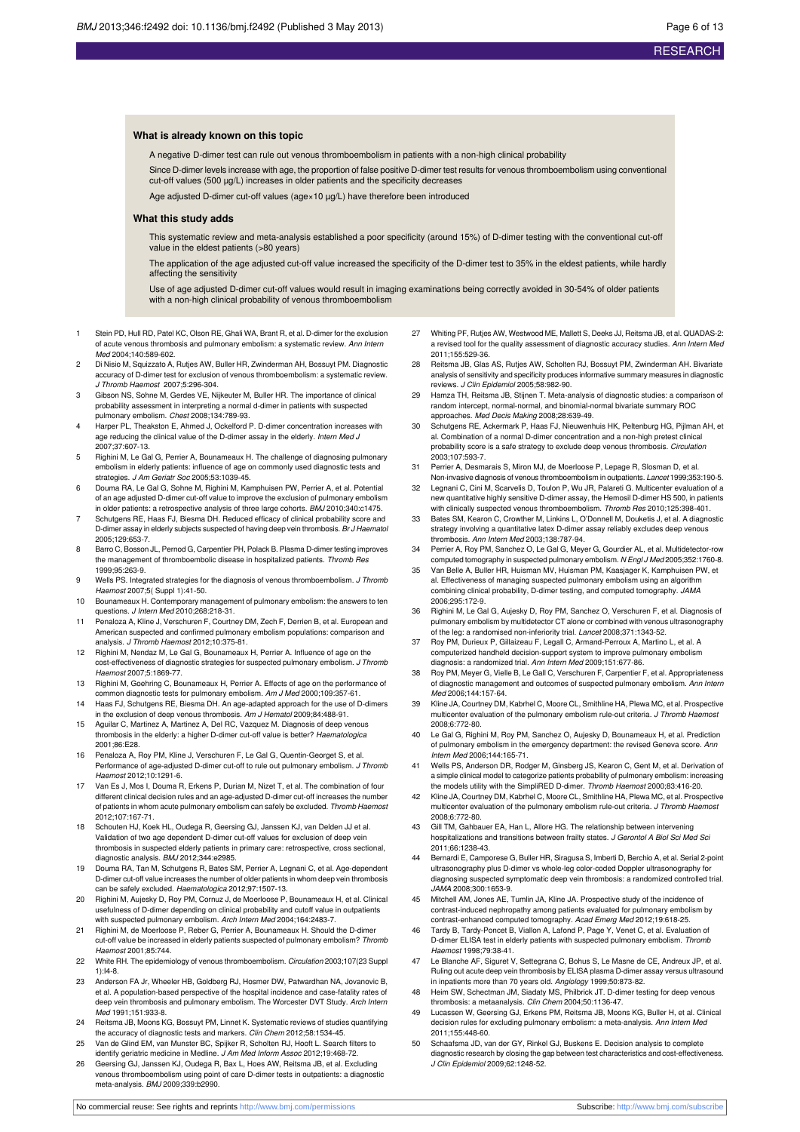#### **What is already known on this topic**

A negative D-dimer test can rule out venous thromboembolism in patients with a non-high clinical probability

Since D-dimer levels increase with age, the proportion of false positive D-dimer test results for venous thromboembolism using conventional cut-off values (500 µg/L) increases in older patients and the specificity decreases

Age adjusted D-dimer cut-off values (age×10 µg/L) have therefore been introduced

#### **What this study adds**

This systematic review and meta-analysis established a poor specificity (around 15%) of D-dimer testing with the conventional cut-off value in the eldest patients (>80 years)

The application of the age adjusted cut-off value increased the specificity of the D-dimer test to 35% in the eldest patients, while hardly affecting the sensitivity

Use of age adjusted D-dimer cut-off values would result in imaging examinations being correctly avoided in 30-54% of older patients with a non-high clinical probability of venous thromboembolism

- 1 Stein PD, Hull RD, Patel KC, Olson RE, Ghali WA, Brant R, et al. D-dimer for the exclusion of acute venous thrombosis and pulmonary embolism: a systematic review. Ann Intern Med 2004;140:589-602.
- 2 Di Nisio M, Squizzato A, Rutjes AW, Buller HR, Zwinderman AH, Bossuyt PM. Diagnostic accuracy of D-dimer test for exclusion of venous thromboembolism: a systematic review. J Thromb Haemost 2007;5:296-304.
- 3 Gibson NS, Sohne M, Gerdes VE, Nijkeuter M, Buller HR. The importance of clinical probability assessment in interpreting a normal d-dimer in patients with suspected pulmonary embolism. Chest 2008;134:789-93.
- Harper PL, Theakston E, Ahmed J, Ockelford P. D-dimer concentration increases with age reducing the clinical value of the D-dimer assay in the elderly. Intern Med J 2007;37:607-13.
- Righini M, Le Gal G, Perrier A, Bounameaux H. The challenge of diagnosing pulmonary embolism in elderly patients: influence of age on commonly used diagnostic tests and strategies. J Am Geriatr Soc 2005;53:1039-45.
- 6 Douma RA, Le Gal G, Sohne M, Righini M, Kamphuisen PW, Perrier A, et al. Potential of an age adjusted D-dimer cut-off value to improve the exclusion of pulmonary embolism in older patients: a retrospective analysis of three large cohorts. BMJ 2010;340:c1475.
- Schutgens RE, Haas FJ, Biesma DH. Reduced efficacy of clinical probability score and D-dimer assay in elderly subjects suspected of having deep vein thrombosis. Br J Haematol 2005;129:653-7.
- 8 Barro C, Bosson JL, Pernod G, Carpentier PH, Polack B. Plasma D-dimer testing improves the management of thromboembolic disease in hospitalized patients. Thromb Res 1999;95:263-9.
- 9 Wells PS. Integrated strategies for the diagnosis of venous thromboembolism. J Thromb Haemost 2007;5( Suppl 1):41-50.
- 10 Bounameaux H. Contemporary management of pulmonary embolism: the answers to ten questions. J Intern Med 2010;268:218-31.
- 11 Penaloza A, Kline J, Verschuren F, Courtney DM, Zech F, Derrien B, et al. European and American suspected and confirmed pulmonary embolism populations: comparison and analysis. J Thromb Haemost 2012;10:375-81.
- 12 Righini M, Nendaz M, Le Gal G, Bounameaux H, Perrier A. Influence of age on the cost-effectiveness of diagnostic strategies for suspected pulmonary embolism. J Thromb Haemost 2007;5:1869-77.
- 13 Righini M, Goehring C, Bounameaux H, Perrier A. Effects of age on the performance of common diagnostic tests for pulmonary embolism. Am J Med 2000;109:357-61.
- 14 Haas FJ, Schutgens RE, Biesma DH. An age-adapted approach for the use of D-dimers in the exclusion of deep venous thrombosis. Am J Hematol 2009;84:488-91.
- 15 Aguilar C, Martinez A, Martinez A, Del RC, Vazquez M. Diagnosis of deep venous thrombosis in the elderly: a higher D-dimer cut-off value is better? Haematologica 2001;86:E28.
- 16 Penaloza A, Roy PM, Kline J, Verschuren F, Le Gal G, Quentin-Georget S, et al. Performance of age-adjusted D-dimer cut-off to rule out pulmonary embolism. J Thromb Haemost 2012;10:1291-6.
- 17 Van Es J, Mos I, Douma R, Erkens P, Durian M, Nizet T, et al. The combination of four different clinical decision rules and an age-adjusted D-dimer cut-off increases the number of patients in whom acute pulmonary embolism can safely be excluded. Thromb Haemost 2012;107:167-71.
- 18 Schouten HJ, Koek HL, Oudega R, Geersing GJ, Janssen KJ, van Delden JJ et al. Validation of two age dependent D-dimer cut-off values for exclusion of deep vein thrombosis in suspected elderly patients in primary care: retrospective, cross sectional, diagnostic analysis. BMJ 2012;344:e2985.
- 19 Douma RA, Tan M, Schutgens R, Bates SM, Perrier A, Legnani C, et al. Age-dependent D-dimer cut-off value increases the number of older patients in whom deep vein thrombosis can be safely excluded. Haematologica 2012;97:1507-13.
- 20 Righini M, Aujesky D, Roy PM, Cornuz J, de Moerloose P, Bounameaux H, et al. Clinical usefulness of D-dimer depending on clinical probability and cutoff value in outpatients with suspected pulmonary embolism. Arch Intern Med 2004;164:2483-7.
- 21 Righini M, de Moerloose P, Reber G, Perrier A, Bounameaux H. Should the D-dimer cut-off value be increased in elderly patients suspected of pulmonary embolism? Thromb Haemost 2001;85:744.
- 22 White RH. The epidemiology of venous thromboembolism. Circulation 2003;107(23 Suppl  $1)$  $14-8$
- 23 Anderson FA Jr, Wheeler HB, Goldberg RJ, Hosmer DW, Patwardhan NA, Jovanovic B, et al. A population-based perspective of the hospital incidence and case-fatality rates of deep vein thrombosis and pulmonary embolism. The Worcester DVT Study. Arch Intern Med 1991;151:933-8.
- 24 Reitsma JB, Moons KG, Bossuyt PM, Linnet K. Systematic reviews of studies quantifying the accuracy of diagnostic tests and markers. Clin Chem 2012;58:1534-45.
- 25 Van de Glind EM, van Munster BC, Spijker R, Scholten RJ, Hooft L. Search filters to identify geriatric medicine in Medline. J Am Med Inform Assoc 2012;19:468-72.
- 26 Geersing GJ, Janssen KJ, Oudega R, Bax L, Hoes AW, Reitsma JB, et al. Excluding venous thromboembolism using point of care D-dimer tests in outpatients: a diagnostic meta-analysis. BMJ 2009;339:b2990.
- 27 Whiting PF, Rutjes AW, Westwood ME, Mallett S, Deeks JJ, Reitsma JB, et al. QUADAS-2: a revised tool for the quality assessment of diagnostic accuracy studies. Ann Intern Med 2011;155:529-36.
- 28 Reitsma JB, Glas AS, Rutjes AW, Scholten RJ, Bossuyt PM, Zwinderman AH. Bivariate analysis of sensitivity and specificity produces informative summary measures in diagnostic reviews. J Clin Epidemiol 2005;58:982-90.
- 29 Hamza TH, Reitsma JB, Stijnen T. Meta-analysis of diagnostic studies: a comparison of random intercept, normal-normal, and binomial-normal bivariate summary ROC approaches. Med Decis Making 2008;28:639-49.
- 30 Schutgens RE, Ackermark P, Haas FJ, Nieuwenhuis HK, Peltenburg HG, Pijlman AH, et al. Combination of a normal D-dimer concentration and a non-high pretest clinical probability score is a safe strategy to exclude deep venous thrombosis. Circulation 2003;107:593-7.
- 31 Perrier A, Desmarais S, Miron MJ, de Moerloose P, Lepage R, Slosman D, et al. Non-invasive diagnosis of venous thromboembolism in outpatients. Lancet 1999;353:190-5.
- 32 Legnani C, Cini M, Scarvelis D, Toulon P, Wu JR, Palareti G. Multicenter evaluation of a new quantitative highly sensitive D-dimer assay, the Hemosil D-dimer HS 500, in patients with clinically suspected venous thromboembolism. Thromb Res 2010;125:398-401.
- 33 Bates SM, Kearon C, Crowther M, Linkins L, O'Donnell M, Douketis J, et al. A diagnostic strategy involving a quantitative latex D-dimer assay reliably excludes deep venous thrombosis. Ann Intern Med 2003;138:787-94.
- Perrier A, Roy PM, Sanchez O, Le Gal G, Meyer G, Gourdier AL, et al. Multidetector-row computed tomography in suspected pulmonary embolism. N Engl J Med 2005;352:1760-8.
- 35 Van Belle A, Buller HR, Huisman MV, Huisman PM, Kaasjager K, Kamphuisen PW, et al. Effectiveness of managing suspected pulmonary embolism using an algorithm combining clinical probability, D-dimer testing, and computed tomography. JAMA 2006;295:172-9.
- Righini M, Le Gal G, Aujesky D, Roy PM, Sanchez O, Verschuren F, et al. Diagnosis of pulmonary embolism by multidetector CT alone or combined with venous ultrasonography of the leg: a randomised non-inferiority trial. Lancet 2008;371:1343-52.
- 37 Roy PM, Durieux P, Gillaizeau F, Legall C, Armand-Perroux A, Martino L, et al. A computerized handheld decision-support system to improve pulmonary embolism diagnosis: a randomized trial. Ann Intern Med 2009;151:677-86.
- 38 Roy PM, Meyer G, Vielle B, Le Gall C, Verschuren F, Carpentier F, et al. Appropriateness of diagnostic management and outcomes of suspected pulmonary embolism. Ann Intern Med 2006;144:157-64.
- 39 Kline JA, Courtney DM, Kabrhel C, Moore CL, Smithline HA, Plewa MC, et al. Prospective multicenter evaluation of the pulmonary embolism rule-out criteria. J Thromb Haemost 2008;6:772-80.
- 40 Le Gal G, Righini M, Roy PM, Sanchez O, Aujesky D, Bounameaux H, et al. Prediction of pulmonary embolism in the emergency department: the revised Geneva score. Ann Intern Med 2006;144:165-71.
- 41 Wells PS, Anderson DR, Rodger M, Ginsberg JS, Kearon C, Gent M, et al. Derivation of a simple clinical model to categorize patients probability of pulmonary embolism: increasing the models utility with the SimpliRED D-dimer. Thromb Haemost 2000;83:416-20.
- Kline JA, Courtney DM, Kabrhel C, Moore CL, Smithline HA, Plewa MC, et al. Prospective multicenter evaluation of the pulmonary embolism rule-out criteria. J Thromb Haemost 2008;6:772-80.
- 43 Gill TM, Gahbauer EA, Han L, Allore HG. The relationship between intervening hospitalizations and transitions between frailty states. J Gerontol A Biol Sci Med Sci 2011;66:1238-43.
- 44 Bernardi E, Camporese G, Buller HR, Siragusa S, Imberti D, Berchio A, et al. Serial 2-point ultrasonography plus D-dimer vs whole-leg color-coded Doppler ultrasonography for diagnosing suspected symptomatic deep vein thrombosis: a randomized controlled trial. JAMA 2008;300:1653-9.
- 45 Mitchell AM, Jones AE, Tumlin JA, Kline JA. Prospective study of the incidence of contrast-induced nephropathy among patients evaluated for pulmonary embolism by contrast-enhanced computed tomography. Acad Emerg Med 2012;19:618-25.
- Tardy B, Tardy-Poncet B, Viallon A, Lafond P, Page Y, Venet C, et al. Evaluation of D-dimer ELISA test in elderly patients with suspected pulmonary embolism. Thromb Haemost 1998;79:38-41.
- 47 Le Blanche AF, Siguret V, Settegrana C, Bohus S, Le Masne de CE, Andreux JP, et al. Ruling out acute deep vein thrombosis by ELISA plasma D-dimer assay versus ultrasound in inpatients more than 70 years old. Angiology 1999;50:873-82.
- Heim SW, Schectman JM, Siadaty MS, Philbrick JT. D-dimer testing for deep venous thrombosis: a metaanalysis. Clin Chem 2004;50:1136-47.
- 49 Lucassen W, Geersing GJ, Erkens PM, Reitsma JB, Moons KG, Buller H, et al. Clinical decision rules for excluding pulmonary embolism: a meta-analysis. Ann Intern Med 2011;155:448-60.
- 50 Schaafsma JD, van der GY, Rinkel GJ, Buskens E. Decision analysis to complete diagnostic research by closing the gap between test characteristics and cost-effectiveness. J Clin Epidemiol 2009;62:1248-52.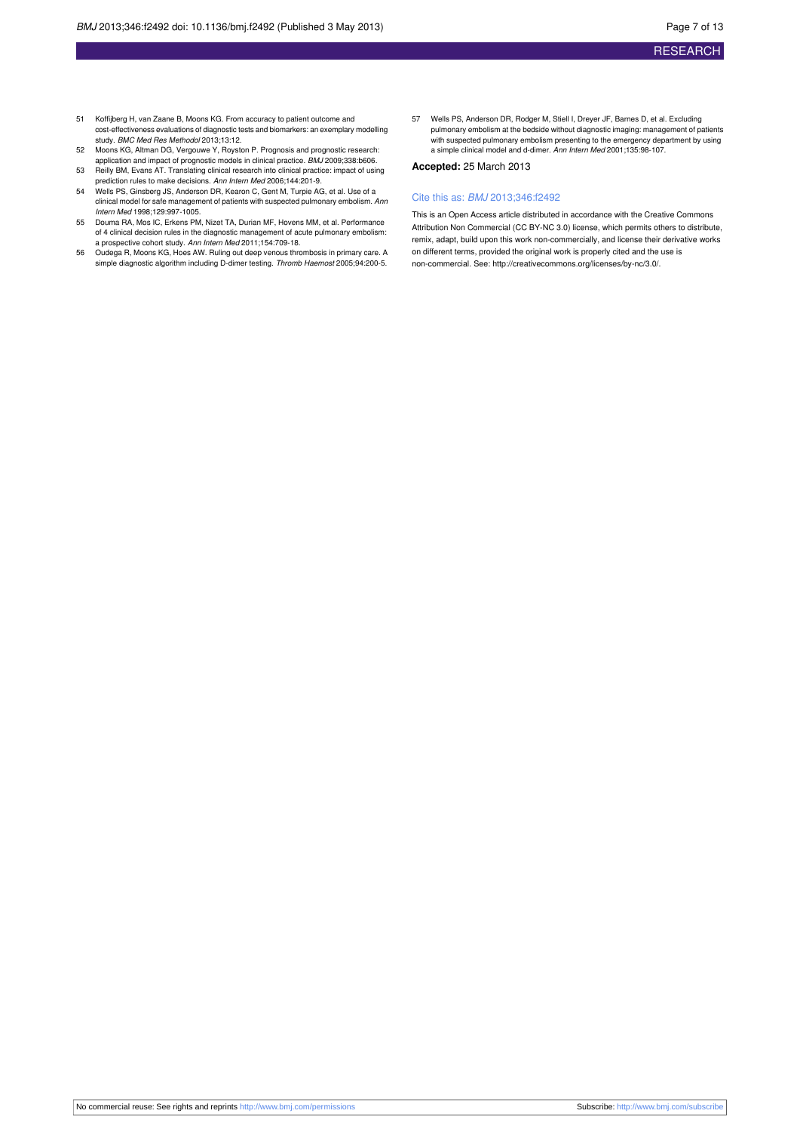**RESEARCH** 

- 51 Koffijberg H, van Zaane B, Moons KG. From accuracy to patient outcome and
- cost-effectiveness evaluations of diagnostic tests and biomarkers: an exemplary modelling study. BMC Med Res Methodol 2013;13:12. 52 Moons KG, Altman DG, Vergouwe Y, Royston P. Prognosis and prognostic research:
- 
- application and impact of prognostic models in clinical practice. BMJ 2009;338:b606. 53 Reilly BM, Evans AT. Translating clinical research into clinical practice: impact of using prediction rules to make decisions. Ann Intern Med 2006;144:201-9.
- 54 Wells PS, Ginsberg JS, Anderson DR, Kearon C, Gent M, Turpie AG, et al. Use of a clinical model for safe management of patients with suspected pulmonary embolism. Ann Intern Med 1998;129:997-1005.
- 55 Douma RA, Mos IC, Erkens PM, Nizet TA, Durian MF, Hovens MM, et al. Performance of 4 clinical decision rules in the diagnostic management of acute pulmonary embolism:
- a prospective cohort study. Ann Intern Med 2011;154:709-18.<br>56 Oudega R, Moons KG, Hoes AW. Ruling out deep venous thrombosis in primary care. A simple diagnostic algorithm including D-dimer testing. Thromb Haemost 2005;94:200-5.
- 57 Wells PS, Anderson DR, Rodger M, Stiell I, Dreyer JF, Barnes D, et al. Excluding pulmonary embolism at the bedside without diagnostic imaging: management of patients with suspected pulmonary embolism presenting to the emergency department by using a simple clinical model and d-dimer. Ann Intern Med 2001;135:98-107.

**Accepted:** 25 March 2013

#### Cite this as: BMJ 2013;346:f2492

This is an Open Access article distributed in accordance with the Creative Commons Attribution Non Commercial (CC BY-NC 3.0) license, which permits others to distribute, remix, adapt, build upon this work non-commercially, and license their derivative works on different terms, provided the original work is properly cited and the use is non-commercial. See: <http://creativecommons.org/licenses/by-nc/3.0/>.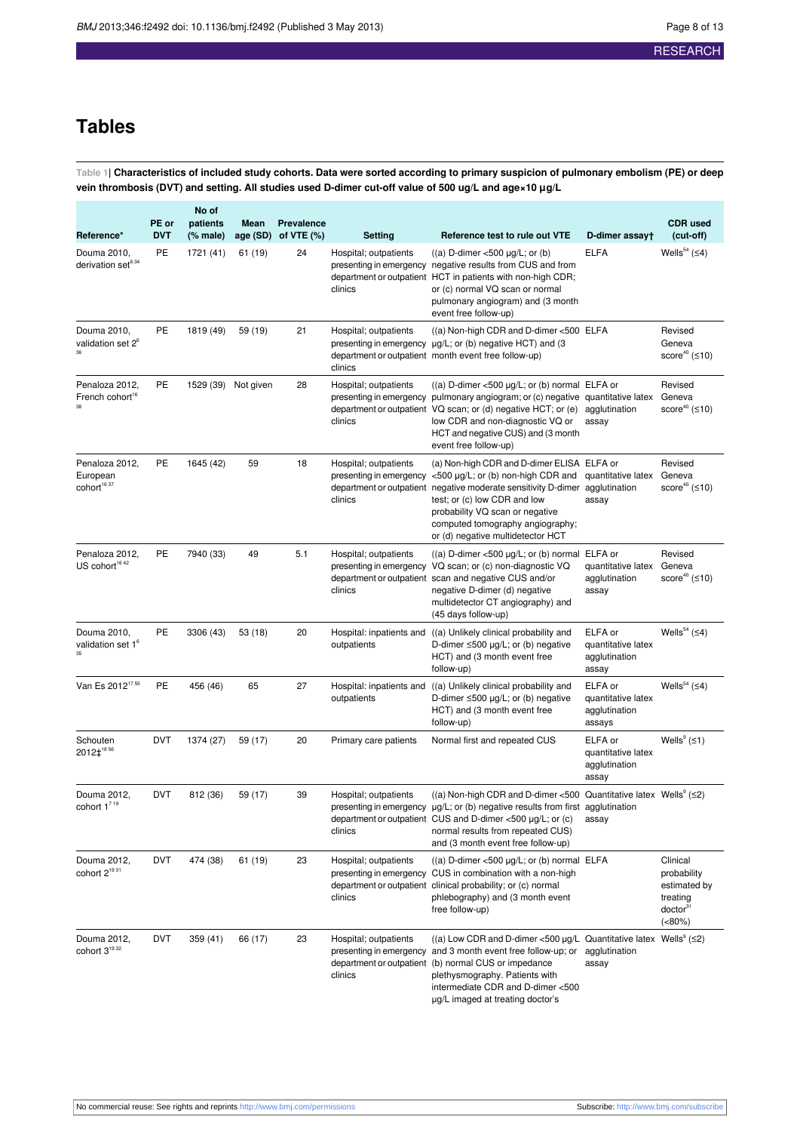## **Tables**

<span id="page-7-0"></span>Table 1| Characteristics of included study cohorts. Data were sorted according to primary suspicion of pulmonary embolism (PE) or deep **vein thrombosis (DVT) and setting. All studies used D-dimer cut-off value of 500 ug/L and age×10 μg/L**

| Reference*                                           | PE or<br><b>DVT</b> | No of<br>patients<br>$(% \mathbf{A})$ (% male) | Mean<br>age (SD)    | <b>Prevalence</b><br>of VTE (%) | Setting                                                     | Reference test to rule out VTE                                                                                                                                                                                                                                                                                                                                      | D-dimer assayt                                           | <b>CDR</b> used<br>(cut-off)                                                             |  |
|------------------------------------------------------|---------------------|------------------------------------------------|---------------------|---------------------------------|-------------------------------------------------------------|---------------------------------------------------------------------------------------------------------------------------------------------------------------------------------------------------------------------------------------------------------------------------------------------------------------------------------------------------------------------|----------------------------------------------------------|------------------------------------------------------------------------------------------|--|
| Douma 2010,<br>derivation set <sup>634</sup>         | PE                  | 1721 (41)                                      | 61 (19)             | 24                              | Hospital; outpatients<br>clinics                            | <b>ELFA</b><br>$((a)$ D-dimer <500 $\mu$ g/L; or (b)<br>presenting in emergency negative results from CUS and from<br>department or outpatient HCT in patients with non-high CDR;<br>or (c) normal VQ scan or normal<br>pulmonary angiogram) and (3 month<br>event free follow-up)                                                                                  |                                                          | Wells <sup>54</sup> ( $\leq$ 4)                                                          |  |
| Douma 2010,<br>validation set 2 <sup>6</sup><br>36   | PE                  | 1819 (49)                                      | 59 (19)             | 21                              | Hospital; outpatients<br>clinics                            | ((a) Non-high CDR and D-dimer <500 ELFA<br>presenting in emergency µg/L; or (b) negative HCT) and (3<br>department or outpatient month event free follow-up)                                                                                                                                                                                                        |                                                          | Revised<br>Geneva<br>score <sup>40</sup> ( $\leq$ 10)                                    |  |
| Penaloza 2012,<br>French cohort <sup>16</sup>        | PE                  |                                                | 1529 (39) Not given | 28                              | Hospital; outpatients<br>presenting in emergency<br>clinics | ((a) D-dimer <500 µg/L; or (b) normal ELFA or<br>pulmonary angiogram; or (c) negative quantitative latex<br>department or outpatient VQ scan; or (d) negative HCT; or (e) agglutination<br>low CDR and non-diagnostic VQ or<br>assay<br>HCT and negative CUS) and (3 month<br>event free follow-up)                                                                 |                                                          | Revised<br>Geneva<br>score <sup>40</sup> ( $\leq$ 10)                                    |  |
| Penaloza 2012,<br>European<br>cohort <sup>1637</sup> | PE                  | 1645 (42)                                      | 59                  | 18                              | Hospital; outpatients<br>clinics                            | (a) Non-high CDR and D-dimer ELISA ELFA or<br>presenting in emergency <500 µg/L; or (b) non-high CDR and<br>quantitative latex<br>department or outpatient negative moderate sensitivity D-dimer agglutination<br>test; or (c) low CDR and low<br>assay<br>probability VQ scan or negative<br>computed tomography angiography;<br>or (d) negative multidetector HCT |                                                          | Revised<br>Geneva<br>score <sup>40</sup> ( $\leq 10$ )                                   |  |
| Penaloza 2012,<br>US cohort <sup>1642</sup>          | PE                  | 7940 (33)                                      | 49                  | 5.1                             | Hospital; outpatients<br>clinics                            | ((a) D-dimer <500 µg/L; or (b) normal ELFA or<br>presenting in emergency VQ scan; or (c) non-diagnostic VQ<br>department or outpatient scan and negative CUS and/or<br>negative D-dimer (d) negative<br>multidetector CT angiography) and<br>(45 days follow-up)                                                                                                    | quantitative latex<br>agglutination<br>assay             | Revised<br>Geneva<br>score <sup>40</sup> ( $\leq$ 10)                                    |  |
| Douma 2010,<br>validation set 1 <sup>6</sup><br>35   | PE                  | 3306 (43)                                      | 53 (18)             | 20                              | outpatients                                                 | Hospital: inpatients and ((a) Unlikely clinical probability and<br>D-dimer $\leq$ 500 µg/L; or (b) negative<br>HCT) and (3 month event free<br>follow-up)                                                                                                                                                                                                           | ELFA or<br>quantitative latex<br>agglutination<br>assay  | Wells <sup>54</sup> ( $\leq$ 4)                                                          |  |
| Van Es 2012 <sup>1755</sup>                          | PE                  | 456 (46)                                       | 65                  | 27                              | Hospital: inpatients and<br>outpatients                     | ((a) Unlikely clinical probability and<br>D-dimer $\leq 500 \mu g/L$ ; or (b) negative<br>HCT) and (3 month event free<br>follow-up)                                                                                                                                                                                                                                | ELFA or<br>quantitative latex<br>agglutination<br>assays | Wells <sup>54</sup> ( $\leq$ 4)                                                          |  |
| Schouten<br>2012‡1856                                | <b>DVT</b>          | 1374 (27)                                      | 59 (17)             | 20                              | Primary care patients                                       | Normal first and repeated CUS<br>ELFA or<br>quantitative latex<br>agglutination<br>assay                                                                                                                                                                                                                                                                            |                                                          | Wells $^{\circ}$ ( $\leq$ 1)                                                             |  |
| Douma 2012,<br>cohort 1719                           | <b>DVT</b>          | 812 (36)                                       | 59 (17)             | 39                              | Hospital; outpatients<br>clinics                            | ((a) Non-high CDR and D-dimer <500 Quantitative latex Wells <sup>9</sup> ( $\leq$ 2)<br>presenting in emergency µg/L; or (b) negative results from first agglutination<br>department or outpatient CUS and D-dimer $<$ 500 $\mu$ g/L; or (c)<br>assay<br>normal results from repeated CUS)<br>and (3 month event free follow-up)                                    |                                                          |                                                                                          |  |
| Douma 2012,<br>cohort 2 <sup>1931</sup>              | DVT                 | 474 (38)                                       | 61 (19)             | 23                              | Hospital; outpatients<br>clinics                            | $((a)$ D-dimer <500 $\mu$ g/L; or (b) normal ELFA<br>presenting in emergency CUS in combination with a non-high<br>department or outpatient clinical probability; or (c) normal<br>phlebography) and (3 month event<br>free follow-up)                                                                                                                              |                                                          | Clinical<br>probability<br>estimated by<br>treating<br>doctor <sup>31</sup><br>$(<80\%)$ |  |
| Douma 2012,<br>cohort 3 <sup>1932</sup>              | <b>DVT</b>          | 359 (41)                                       | 66 (17)             | 23                              | Hospital; outpatients<br>clinics                            | ((a) Low CDR and D-dimer <500 $\mu$ g/L Quantitative latex Wells <sup>9</sup> ( $\leq$ 2)<br>presenting in emergency and 3 month event free follow-up; or<br>department or outpatient (b) normal CUS or impedance<br>plethysmography. Patients with<br>intermediate CDR and D-dimer <500<br>µg/L imaged at treating doctor's                                        | agglutination<br>assay                                   |                                                                                          |  |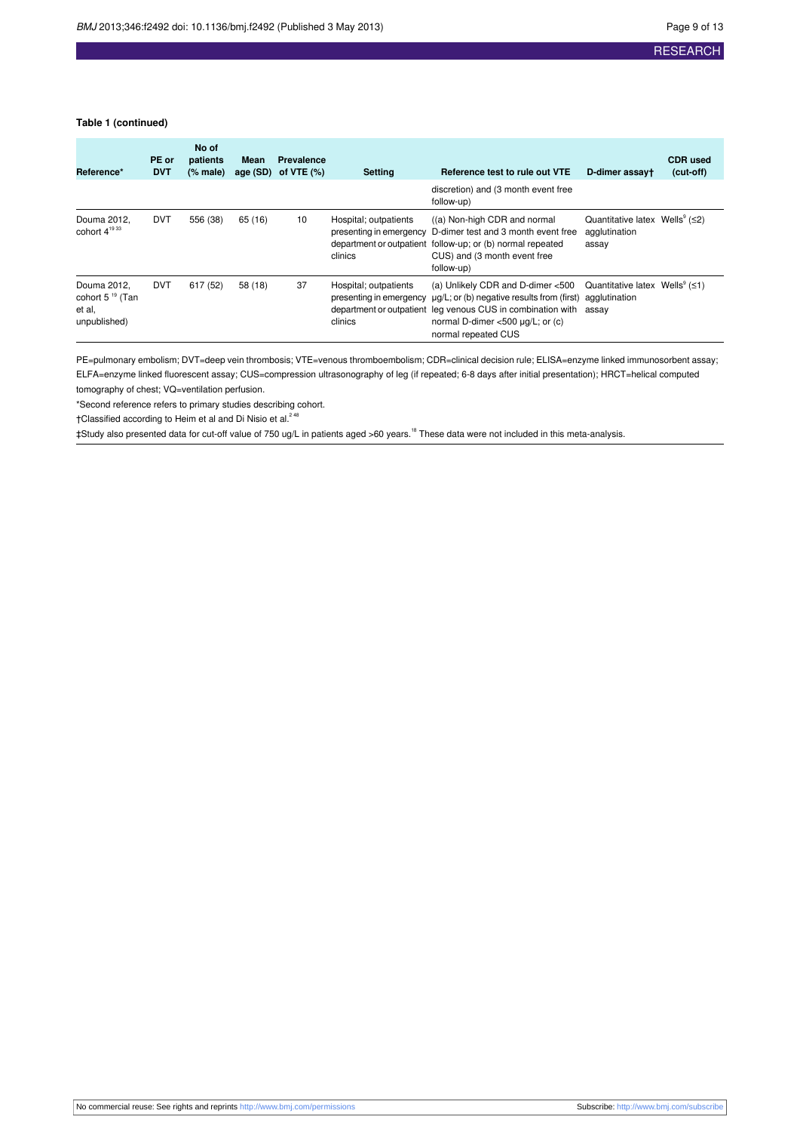#### **Table 1 (continued)**

| Reference*                                                    | PE or<br><b>DVT</b> | No of<br>patients<br>$(% \mathbf{A})$ (% male) | Mean<br>age (SD) | Prevalence<br>of VTE $(\%)$ | <b>Setting</b>                                              | Reference test to rule out VTE                                                                                                                                                                                 | D-dimer assayt                                                              | <b>CDR</b> used<br>(cut-off) |
|---------------------------------------------------------------|---------------------|------------------------------------------------|------------------|-----------------------------|-------------------------------------------------------------|----------------------------------------------------------------------------------------------------------------------------------------------------------------------------------------------------------------|-----------------------------------------------------------------------------|------------------------------|
|                                                               |                     |                                                |                  |                             |                                                             | discretion) and (3 month event free<br>follow-up)                                                                                                                                                              |                                                                             |                              |
| Douma 2012.<br>cohort 4 <sup>19 33</sup>                      | <b>DVT</b>          | 556 (38)                                       | 65 (16)          | 10                          | Hospital; outpatients<br>clinics                            | ((a) Non-high CDR and normal<br>presenting in emergency D-dimer test and 3 month event free<br>department or outpatient follow-up; or (b) normal repeated<br>CUS) and (3 month event free<br>follow-up)        | Quantitative latex Wells <sup>9</sup> ( $\leq$ 2)<br>agglutination<br>assay |                              |
| Douma 2012.<br>cohort $5^{19}$ (Tan<br>et al.<br>unpublished) | <b>DVT</b>          | 617 (52)                                       | 58 (18)          | 37                          | Hospital; outpatients<br>presenting in emergency<br>clinics | (a) Unlikely CDR and D-dimer <500<br>$\mu$ g/L; or (b) negative results from (first)<br>department or outpatient leg venous CUS in combination with<br>normal D-dimer <500 µg/L; or (c)<br>normal repeated CUS | Quantitative latex Wells <sup>9</sup> ( $\leq$ 1)<br>agglutination<br>assav |                              |

PE=pulmonary embolism; DVT=deep vein thrombosis; VTE=venous thromboembolism; CDR=clinical decision rule; ELISA=enzyme linked immunosorbent assay;

ELFA=enzyme linked fluorescent assay; CUS=compression ultrasonography of leg (if repeated; 6-8 days after initial presentation); HRCT=helical computed tomography of chest; VQ=ventilation perfusion.

\*Second reference refers to primary studies describing cohort.

†Classified according to Heim et al and Di Nisio et al.<sup>248</sup>

‡Study also presented data for cut-off value of 750 ug/L in patients aged >60 years. <sup>18</sup> These data were not included in this meta-analysis.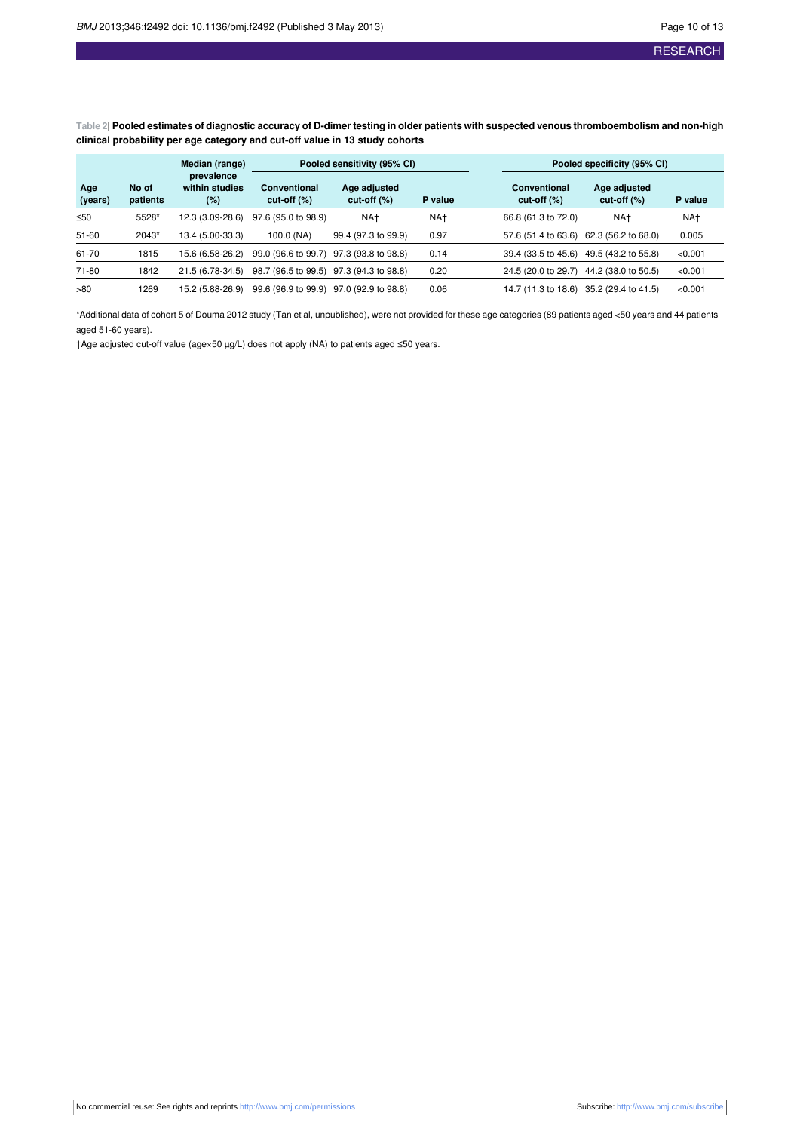<span id="page-9-0"></span>Table 2| Pooled estimates of diagnostic accuracy of D-dimer testing in older patients with suspected venous thromboembolism and non-high **clinical probability per age category and cut-off value in 13 study cohorts**

| Age<br>No of<br>patients<br>(years) |       | Median (range)                         |                                | Pooled sensitivity (95% CI)             |                 | Pooled specificity (95% CI)   |                               |                 |  |  |
|-------------------------------------|-------|----------------------------------------|--------------------------------|-----------------------------------------|-----------------|-------------------------------|-------------------------------|-----------------|--|--|
|                                     |       | prevalence<br>within studies<br>$(\%)$ | Conventional<br>$cut-off (\%)$ | Age adjusted<br>$cut-off (%)$           | P value         | Conventional<br>$cut-off (%)$ | Age adjusted<br>$cut-off (%)$ | P value         |  |  |
| $\leq 50$                           | 5528* | 12.3 (3.09-28.6)                       | 97.6 (95.0 to 98.9)            | NA <sup>+</sup>                         | NA <sup>+</sup> | 66.8 (61.3 to 72.0)           | NA+                           | NA <sup>+</sup> |  |  |
| $51 - 60$                           | 2043* | 13.4 (5.00-33.3)                       | 100.0 (NA)                     | 99.4 (97.3 to 99.9)                     | 0.97            | 57.6 (51.4 to 63.6)           | 62.3 (56.2 to 68.0)           | 0.005           |  |  |
| 61-70                               | 1815  | 15.6 (6.58-26.2)                       |                                | 99.0 (96.6 to 99.7) 97.3 (93.8 to 98.8) | 0.14            | 39.4 (33.5 to 45.6)           | 49.5 (43.2 to 55.8)           | < 0.001         |  |  |
| 71-80                               | 1842  | 21.5 (6.78-34.5)                       | 98.7 (96.5 to 99.5)            | 97.3 (94.3 to 98.8)                     | 0.20            | 24.5 (20.0 to 29.7)           | 44.2 (38.0 to 50.5)           | < 0.001         |  |  |
| >80                                 | 1269  | 15.2 (5.88-26.9)                       | 99.6 (96.9 to 99.9)            | 97.0 (92.9 to 98.8)                     | 0.06            | 14.7 (11.3 to 18.6)           | 35.2 (29.4 to 41.5)           | < 0.001         |  |  |

\*Additional data of cohort 5 of Douma 2012 study (Tan et al, unpublished), were not provided for these age categories (89 patients aged <50 years and 44 patients aged 51-60 years).

†Age adjusted cut-off value (age×50 µg/L) does not apply (NA) to patients aged ≤50 years.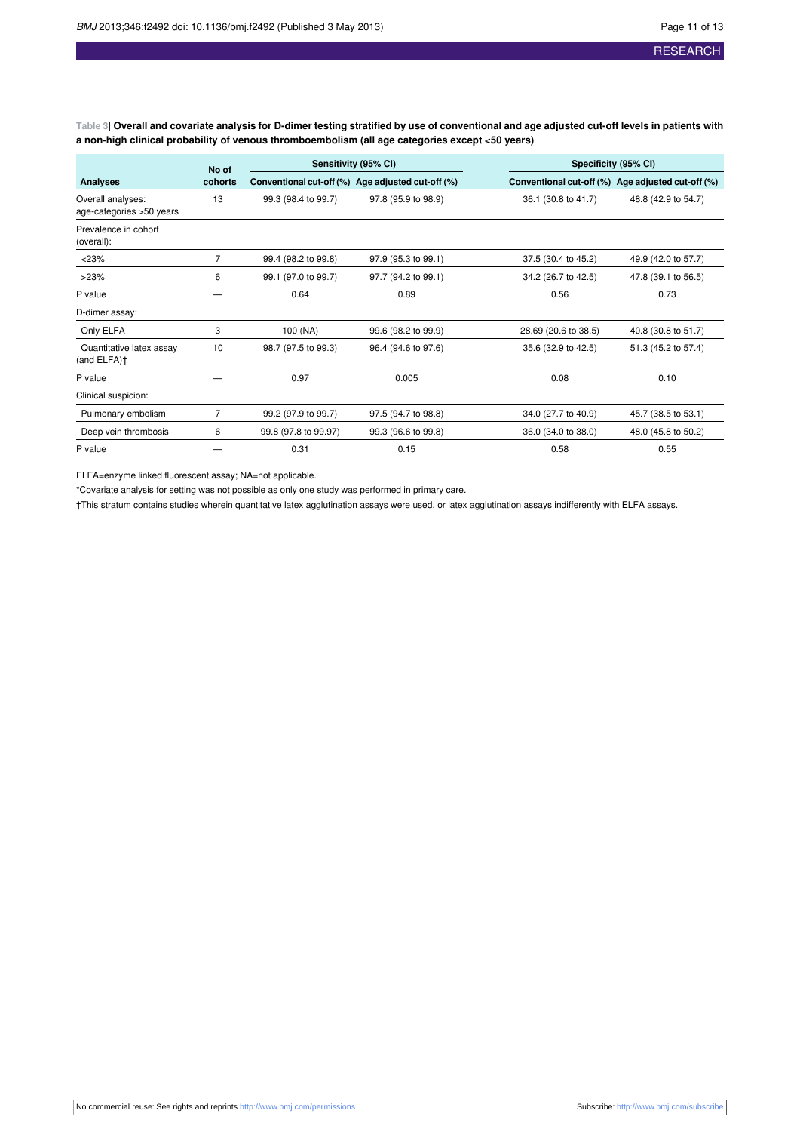<span id="page-10-0"></span>Table 3| Overall and covariate analysis for D-dimer testing stratified by use of conventional and age adjusted cut-off levels in patients with **a non-high clinical probability of venous thromboembolism (all age categories except <50 years)**

|                                                     | No of   |                      | Sensitivity (95% CI)                              | Specificity (95% CI)                              |                     |  |  |
|-----------------------------------------------------|---------|----------------------|---------------------------------------------------|---------------------------------------------------|---------------------|--|--|
| <b>Analyses</b>                                     | cohorts |                      | Conventional cut-off (%) Age adjusted cut-off (%) | Conventional cut-off (%) Age adjusted cut-off (%) |                     |  |  |
| Overall analyses:<br>age-categories >50 years       | 13      | 99.3 (98.4 to 99.7)  | 97.8 (95.9 to 98.9)                               | 36.1 (30.8 to 41.7)                               | 48.8 (42.9 to 54.7) |  |  |
| Prevalence in cohort<br>(overall):                  |         |                      |                                                   |                                                   |                     |  |  |
| < 23%                                               | 7       | 99.4 (98.2 to 99.8)  | 97.9 (95.3 to 99.1)                               | 37.5 (30.4 to 45.2)                               | 49.9 (42.0 to 57.7) |  |  |
| >23%                                                | 6       | 99.1 (97.0 to 99.7)  | 97.7 (94.2 to 99.1)                               | 34.2 (26.7 to 42.5)                               | 47.8 (39.1 to 56.5) |  |  |
| P value                                             |         | 0.64                 | 0.89                                              | 0.56                                              | 0.73                |  |  |
| D-dimer assay:                                      |         |                      |                                                   |                                                   |                     |  |  |
| Only ELFA                                           | 3       | 100 (NA)             | 99.6 (98.2 to 99.9)                               | 28.69 (20.6 to 38.5)                              | 40.8 (30.8 to 51.7) |  |  |
| Quantitative latex assay<br>(and ELFA) <sup>+</sup> | 10      | 98.7 (97.5 to 99.3)  | 96.4 (94.6 to 97.6)                               | 35.6 (32.9 to 42.5)                               | 51.3 (45.2 to 57.4) |  |  |
| P value                                             |         | 0.97                 | 0.005                                             | 0.08                                              | 0.10                |  |  |
| Clinical suspicion:                                 |         |                      |                                                   |                                                   |                     |  |  |
| Pulmonary embolism                                  | 7       | 99.2 (97.9 to 99.7)  | 97.5 (94.7 to 98.8)                               | 34.0 (27.7 to 40.9)                               | 45.7 (38.5 to 53.1) |  |  |
| Deep vein thrombosis                                | 6       | 99.8 (97.8 to 99.97) | 99.3 (96.6 to 99.8)                               | 36.0 (34.0 to 38.0)                               | 48.0 (45.8 to 50.2) |  |  |
| P value                                             |         | 0.31                 | 0.15                                              | 0.58                                              | 0.55                |  |  |

ELFA=enzyme linked fluorescent assay; NA=not applicable.

\*Covariate analysis for setting was not possible as only one study was performed in primary care.

†This stratum contains studies wherein quantitative latex agglutination assays were used, or latex agglutination assays indifferently with ELFA assays.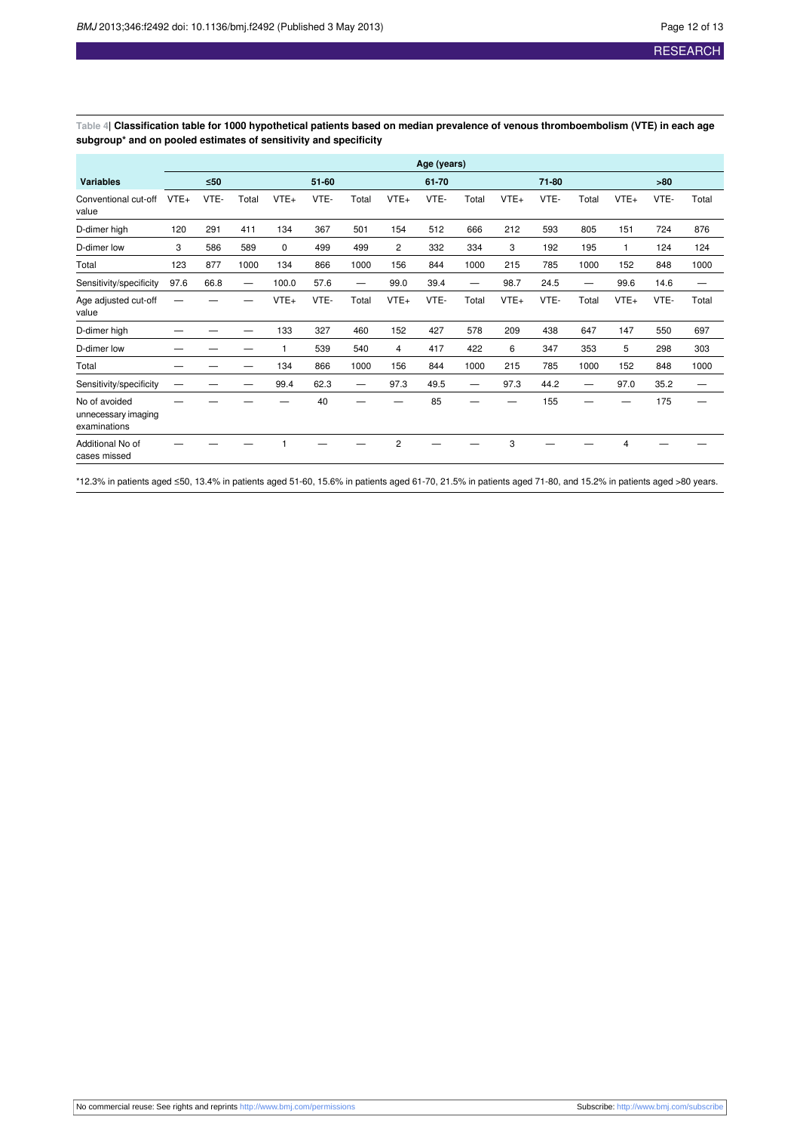<span id="page-11-0"></span>Table 4| Classification table for 1000 hypothetical patients based on median prevalence of venous thromboembolism (VTE) in each age **subgroup\* and on pooled estimates of sensitivity and specificity**

|                                                      | Age (years) |       |                                 |       |           |       |                |       |                                 |        |           |       |        |      |       |
|------------------------------------------------------|-------------|-------|---------------------------------|-------|-----------|-------|----------------|-------|---------------------------------|--------|-----------|-------|--------|------|-------|
| <b>Variables</b>                                     |             | $≤50$ |                                 |       | $51 - 60$ |       |                | 61-70 |                                 |        | $71 - 80$ |       |        | >80  |       |
| Conventional cut-off<br>value                        | $VTE+$      | VTE-  | Total                           | VTE+  | VTE-      | Total | VTE+           | VTE-  | Total                           | $VTE+$ | VTE-      | Total | VTE+   | VTE- | Total |
| D-dimer high                                         | 120         | 291   | 411                             | 134   | 367       | 501   | 154            | 512   | 666                             | 212    | 593       | 805   | 151    | 724  | 876   |
| D-dimer low                                          | 3           | 586   | 589                             | 0     | 499       | 499   | $\overline{c}$ | 332   | 334                             | 3      | 192       | 195   | 1      | 124  | 124   |
| Total                                                | 123         | 877   | 1000                            | 134   | 866       | 1000  | 156            | 844   | 1000                            | 215    | 785       | 1000  | 152    | 848  | 1000  |
| Sensitivity/specificity                              | 97.6        | 66.8  | $\hspace{0.1mm}-\hspace{0.1mm}$ | 100.0 | 57.6      | -     | 99.0           | 39.4  | $\hspace{0.1mm}-\hspace{0.1mm}$ | 98.7   | 24.5      | -     | 99.6   | 14.6 | —     |
| Age adjusted cut-off<br>value                        |             |       |                                 | VTE+  | VTE-      | Total | VTE+           | VTE-  | Total                           | $VTE+$ | VTE-      | Total | $VTE+$ | VTE- | Total |
| D-dimer high                                         |             |       |                                 | 133   | 327       | 460   | 152            | 427   | 578                             | 209    | 438       | 647   | 147    | 550  | 697   |
| D-dimer low                                          |             |       |                                 | 1     | 539       | 540   | $\overline{4}$ | 417   | 422                             | 6      | 347       | 353   | 5      | 298  | 303   |
| Total                                                |             |       |                                 | 134   | 866       | 1000  | 156            | 844   | 1000                            | 215    | 785       | 1000  | 152    | 848  | 1000  |
| Sensitivity/specificity                              |             |       |                                 | 99.4  | 62.3      |       | 97.3           | 49.5  | $\overline{\phantom{0}}$        | 97.3   | 44.2      |       | 97.0   | 35.2 | –     |
| No of avoided<br>unnecessary imaging<br>examinations |             |       |                                 |       | 40        |       |                | 85    |                                 |        | 155       |       |        | 175  |       |
| Additional No of<br>cases missed                     |             |       |                                 |       |           |       | $\overline{2}$ |       |                                 | 3      |           |       | 4      |      |       |

\*12.3% in patients aged ≤50, 13.4% in patients aged 51-60, 15.6% in patients aged 61-70, 21.5% in patients aged 71-80, and 15.2% in patients aged >80 years.